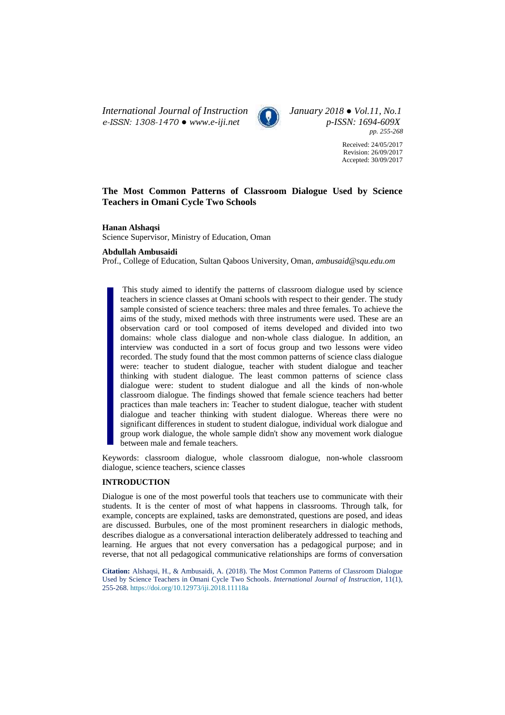*International Journal of Instruction January 2018 ● Vol.11, No.1 e-ISSN: 1308-1470 ● [www.e-iji.net](http://www.e-iji.net/) p-ISSN: 1694-609X*



*pp. 255-268*

Received: 24/05/2017 Revision: 26/09/2017 Accepted: 30/09/2017

# **The Most Common Patterns of Classroom Dialogue Used by Science Teachers in Omani Cycle Two Schools**

### **Hanan Alshaqsi**

Science Supervisor, Ministry of Education, Oman

### **Abdullah Ambusaidi**

Prof., College of Education, Sultan Qaboos University, Oman, *ambusaid@squ.edu.om*

This study aimed to identify the patterns of classroom dialogue used by science teachers in science classes at Omani schools with respect to their gender. The study sample consisted of science teachers: three males and three females. To achieve the aims of the study, mixed methods with three instruments were used. These are an observation card or tool composed of items developed and divided into two domains: whole class dialogue and non-whole class dialogue. In addition, an interview was conducted in a sort of focus group and two lessons were video recorded. The study found that the most common patterns of science class dialogue were: teacher to student dialogue, teacher with student dialogue and teacher thinking with student dialogue. The least common patterns of science class dialogue were: student to student dialogue and all the kinds of non-whole classroom dialogue. The findings showed that female science teachers had better practices than male teachers in: Teacher to student dialogue, teacher with student dialogue and teacher thinking with student dialogue. Whereas there were no significant differences in student to student dialogue, individual work dialogue and group work dialogue, the whole sample didn't show any movement work dialogue between male and female teachers.

Keywords: classroom dialogue, whole classroom dialogue, non-whole classroom dialogue, science teachers, science classes

### **INTRODUCTION**

Dialogue is one of the most powerful tools that teachers use to communicate with their students. It is the center of most of what happens in classrooms. Through talk, for example, concepts are explained, tasks are demonstrated, questions are posed, and ideas are discussed. Burbules, one of the most prominent researchers in dialogic methods, describes dialogue as a conversational interaction deliberately addressed to teaching and learning. He argues that not every conversation has a pedagogical purpose; and in reverse, that not all pedagogical communicative relationships are forms of conversation

**Citation:** Alshaqsi, H., & Ambusaidi, A. (2018). The Most Common Patterns of Classroom Dialogue Used by Science Teachers in Omani Cycle Two Schools. *International Journal of Instruction*, 11(1), 255-268. <https://doi.org/10.12973/iji.2018.11118a>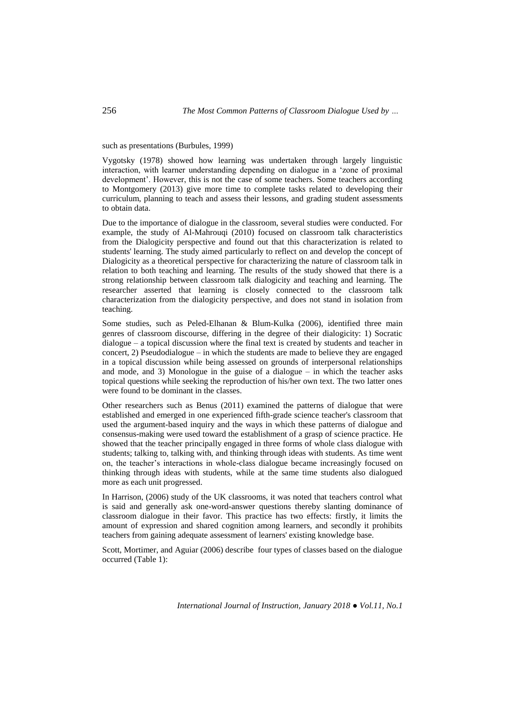### such as presentations (Burbules, 1999)

Vygotsky (1978) showed how learning was undertaken through largely linguistic interaction, with learner understanding depending on dialogue in a 'zone of proximal development'. However, this is not the case of some teachers. Some teachers according to Montgomery (2013) give more time to complete tasks related to developing their curriculum, planning to teach and assess their lessons, and grading student assessments to obtain data.

Due to the importance of dialogue in the classroom, several studies were conducted. For example, the study of Al-Mahrouqi (2010) focused on classroom talk characteristics from the Dialogicity perspective and found out that this characterization is related to students' learning. The study aimed particularly to reflect on and develop the concept of Dialogicity as a theoretical perspective for characterizing the nature of classroom talk in relation to both teaching and learning. The results of the study showed that there is a strong relationship between classroom talk dialogicity and teaching and learning. The researcher asserted that learning is closely connected to the classroom talk characterization from the dialogicity perspective, and does not stand in isolation from teaching.

Some studies, such as Peled-Elhanan & Blum-Kulka (2006), identified three main genres of classroom discourse, differing in the degree of their dialogicity: 1) Socratic dialogue – a topical discussion where the final text is created by students and teacher in concert,  $2)$  Pseudodialogue – in which the students are made to believe they are engaged in a topical discussion while being assessed on grounds of interpersonal relationships and mode, and 3) Monologue in the guise of a dialogue – in which the teacher asks topical questions while seeking the reproduction of his/her own text. The two latter ones were found to be dominant in the classes.

Other researchers such as Benus (2011) examined the patterns of dialogue that were established and emerged in one experienced fifth-grade science teacher's classroom that used the argument-based inquiry and the ways in which these patterns of dialogue and consensus-making were used toward the establishment of a grasp of science practice. He showed that the teacher principally engaged in three forms of whole class dialogue with students; talking to, talking with, and thinking through ideas with students. As time went on, the teacher's interactions in whole-class dialogue became increasingly focused on thinking through ideas with students, while at the same time students also dialogued more as each unit progressed.

In Harrison, (2006) study of the UK classrooms, it was noted that teachers control what is said and generally ask one-word-answer questions thereby slanting dominance of classroom dialogue in their favor. This practice has two effects: firstly, it limits the amount of expression and shared cognition among learners, and secondly it prohibits teachers from gaining adequate assessment of learners' existing knowledge base.

Scott, Mortimer, and Aguiar (2006) describe four types of classes based on the dialogue occurred (Table 1):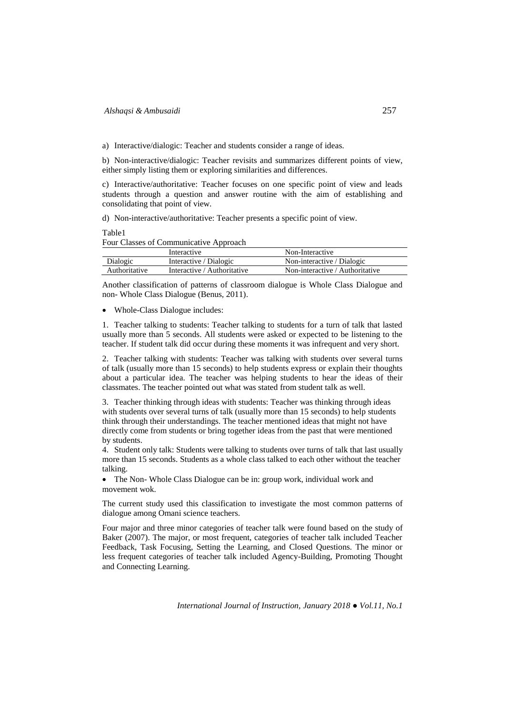a) Interactive/dialogic: Teacher and students consider a range of ideas.

b) Non-interactive/dialogic: Teacher revisits and summarizes different points of view, either simply listing them or exploring similarities and differences.

c) Interactive/authoritative: Teacher focuses on one specific point of view and leads students through a question and answer routine with the aim of establishing and consolidating that point of view.

d) Non-interactive/authoritative: Teacher presents a specific point of view.

Table1

Four Classes of Communicative Approach

|               | Interactive                 | Non-Interactive                 |
|---------------|-----------------------------|---------------------------------|
| Dialogic      | Interactive / Dialogic      | Non-interactive / Dialogic      |
| Authoritative | Interactive / Authoritative | Non-interactive / Authoritative |

Another classification of patterns of classroom dialogue is Whole Class Dialogue and non- Whole Class Dialogue (Benus, 2011).

• Whole-Class Dialogue includes:

1. Teacher talking to students: Teacher talking to students for a turn of talk that lasted usually more than 5 seconds. All students were asked or expected to be listening to the teacher. If student talk did occur during these moments it was infrequent and very short.

2. Teacher talking with students: Teacher was talking with students over several turns of talk (usually more than 15 seconds) to help students express or explain their thoughts about a particular idea. The teacher was helping students to hear the ideas of their classmates. The teacher pointed out what was stated from student talk as well.

3. Teacher thinking through ideas with students: Teacher was thinking through ideas with students over several turns of talk (usually more than 15 seconds) to help students think through their understandings. The teacher mentioned ideas that might not have directly come from students or bring together ideas from the past that were mentioned by students.

4. Student only talk: Students were talking to students over turns of talk that last usually more than 15 seconds. Students as a whole class talked to each other without the teacher talking.

 The Non- Whole Class Dialogue can be in: group work, individual work and movement wok.

The current study used this classification to investigate the most common patterns of dialogue among Omani science teachers.

Four major and three minor categories of teacher talk were found based on the study of Baker (2007). The major, or most frequent, categories of teacher talk included Teacher Feedback, Task Focusing, Setting the Learning, and Closed Questions. The minor or less frequent categories of teacher talk included Agency-Building, Promoting Thought and Connecting Learning.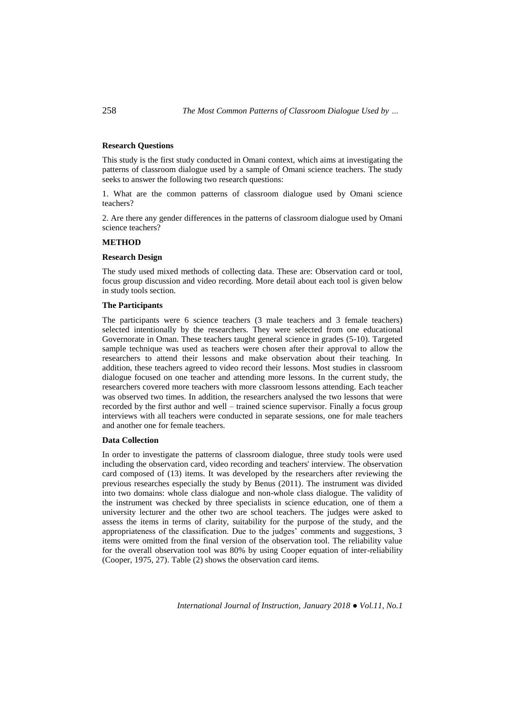## **Research Questions**

This study is the first study conducted in Omani context, which aims at investigating the patterns of classroom dialogue used by a sample of Omani science teachers. The study seeks to answer the following two research questions:

1. What are the common patterns of classroom dialogue used by Omani science teachers?

2. Are there any gender differences in the patterns of classroom dialogue used by Omani science teachers?

#### **METHOD**

### **Research Design**

The study used mixed methods of collecting data. These are: Observation card or tool, focus group discussion and video recording. More detail about each tool is given below in study tools section.

## **The Participants**

The participants were 6 science teachers (3 male teachers and 3 female teachers) selected intentionally by the researchers. They were selected from one educational Governorate in Oman. These teachers taught general science in grades (5-10). Targeted sample technique was used as teachers were chosen after their approval to allow the researchers to attend their lessons and make observation about their teaching. In addition, these teachers agreed to video record their lessons. Most studies in classroom dialogue focused on one teacher and attending more lessons. In the current study, the researchers covered more teachers with more classroom lessons attending. Each teacher was observed two times. In addition, the researchers analysed the two lessons that were recorded by the first author and well – trained science supervisor. Finally a focus group interviews with all teachers were conducted in separate sessions, one for male teachers and another one for female teachers.

### **Data Collection**

In order to investigate the patterns of classroom dialogue, three study tools were used including the observation card, video recording and teachers' interview. The observation card composed of (13) items. It was developed by the researchers after reviewing the previous researches especially the study by Benus (2011). The instrument was divided into two domains: whole class dialogue and non-whole class dialogue. The validity of the instrument was checked by three specialists in science education, one of them a university lecturer and the other two are school teachers. The judges were asked to assess the items in terms of clarity, suitability for the purpose of the study, and the appropriateness of the classification. Due to the judges' comments and suggestions, 3 items were omitted from the final version of the observation tool. The reliability value for the overall observation tool was 80% by using Cooper equation of inter-reliability (Cooper, 1975, 27). Table (2) shows the observation card items.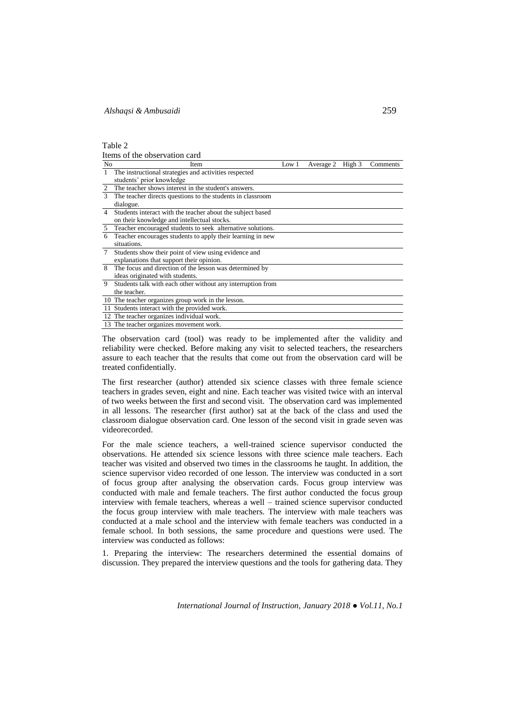| able |
|------|
|------|

Items of the observation card

|                | Tichis of the observation card                              |       |           |        |          |
|----------------|-------------------------------------------------------------|-------|-----------|--------|----------|
| N <sub>0</sub> | Item                                                        | Low 1 | Average 2 | High 3 | Comments |
|                | The instructional strategies and activities respected       |       |           |        |          |
|                | students' prior knowledge                                   |       |           |        |          |
|                | The teacher shows interest in the student's answers.        |       |           |        |          |
| $\mathbf{3}$   | The teacher directs questions to the students in classroom  |       |           |        |          |
|                | dialogue.                                                   |       |           |        |          |
| $\overline{4}$ | Students interact with the teacher about the subject based  |       |           |        |          |
|                | on their knowledge and intellectual stocks.                 |       |           |        |          |
| 5              | Teacher encouraged students to seek alternative solutions.  |       |           |        |          |
| 6              | Teacher encourages students to apply their learning in new  |       |           |        |          |
|                | situations.                                                 |       |           |        |          |
| $\tau$         | Students show their point of view using evidence and        |       |           |        |          |
|                | explanations that support their opinion.                    |       |           |        |          |
| 8              | The focus and direction of the lesson was determined by     |       |           |        |          |
|                | ideas originated with students.                             |       |           |        |          |
| $\mathbf Q$    | Students talk with each other without any interruption from |       |           |        |          |
|                | the teacher.                                                |       |           |        |          |
|                | 10 The teacher organizes group work in the lesson.          |       |           |        |          |
|                | 11 Students interact with the provided work.                |       |           |        |          |
|                | 12 The teacher organizes individual work.                   |       |           |        |          |
|                | 13 The teacher organizes movement work.                     |       |           |        |          |
|                |                                                             |       |           |        |          |

The observation card (tool) was ready to be implemented after the validity and reliability were checked. Before making any visit to selected teachers, the researchers assure to each teacher that the results that come out from the observation card will be treated confidentially.

The first researcher (author) attended six science classes with three female science teachers in grades seven, eight and nine. Each teacher was visited twice with an interval of two weeks between the first and second visit. The observation card was implemented in all lessons. The researcher (first author) sat at the back of the class and used the classroom dialogue observation card. One lesson of the second visit in grade seven was videorecorded.

For the male science teachers, a well-trained science supervisor conducted the observations. He attended six science lessons with three science male teachers. Each teacher was visited and observed two times in the classrooms he taught. In addition, the science supervisor video recorded of one lesson. The interview was conducted in a sort of focus group after analysing the observation cards. Focus group interview was conducted with male and female teachers. The first author conducted the focus group interview with female teachers, whereas a well – trained science supervisor conducted the focus group interview with male teachers. The interview with male teachers was conducted at a male school and the interview with female teachers was conducted in a female school. In both sessions, the same procedure and questions were used. The interview was conducted as follows:

1. Preparing the interview: The researchers determined the essential domains of discussion. They prepared the interview questions and the tools for gathering data. They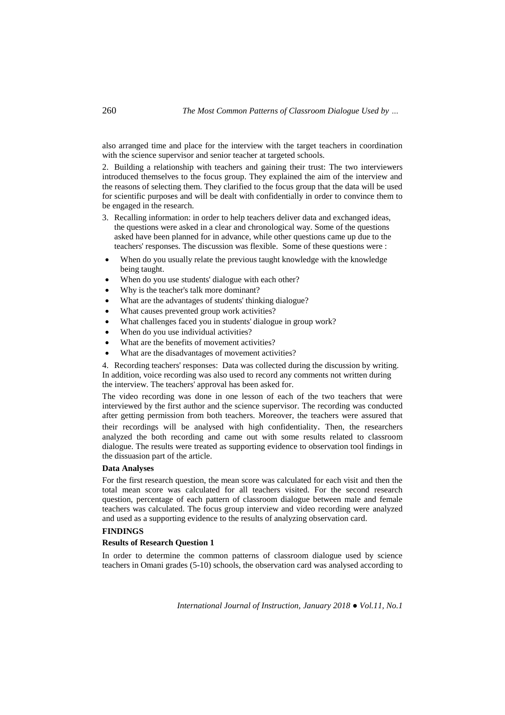also arranged time and place for the interview with the target teachers in coordination with the science supervisor and senior teacher at targeted schools.

2. Building a relationship with teachers and gaining their trust: The two interviewers introduced themselves to the focus group. They explained the aim of the interview and the reasons of selecting them. They clarified to the focus group that the data will be used for scientific purposes and will be dealt with confidentially in order to convince them to be engaged in the research.

- 3. Recalling information: in order to help teachers deliver data and exchanged ideas, the questions were asked in a clear and chronological way. Some of the questions asked have been planned for in advance, while other questions came up due to the teachers' responses. The discussion was flexible. Some of these questions were :
- When do you usually relate the previous taught knowledge with the knowledge being taught.
- When do you use students' dialogue with each other?
- Why is the teacher's talk more dominant?
- What are the advantages of students' thinking dialogue?
- What causes prevented group work activities?
- What challenges faced you in students' dialogue in group work?
- When do you use individual activities?
- What are the benefits of movement activities?
- What are the disadvantages of movement activities?

4. Recording teachers' responses: Data was collected during the discussion by writing. In addition, voice recording was also used to record any comments not written during the interview. The teachers' approval has been asked for.

The video recording was done in one lesson of each of the two teachers that were interviewed by the first author and the science supervisor. The recording was conducted after getting permission from both teachers. Moreover, the teachers were assured that their recordings will be analysed with high confidentiality. Then, the researchers analyzed the both recording and came out with some results related to classroom dialogue. The results were treated as supporting evidence to observation tool findings in the dissuasion part of the article.

## **Data Analyses**

For the first research question, the mean score was calculated for each visit and then the total mean score was calculated for all teachers visited. For the second research question, percentage of each pattern of classroom dialogue between male and female teachers was calculated. The focus group interview and video recording were analyzed and used as a supporting evidence to the results of analyzing observation card.

### **FINDINGS**

## **Results of Research Question 1**

In order to determine the common patterns of classroom dialogue used by science teachers in Omani grades (5-10) schools, the observation card was analysed according to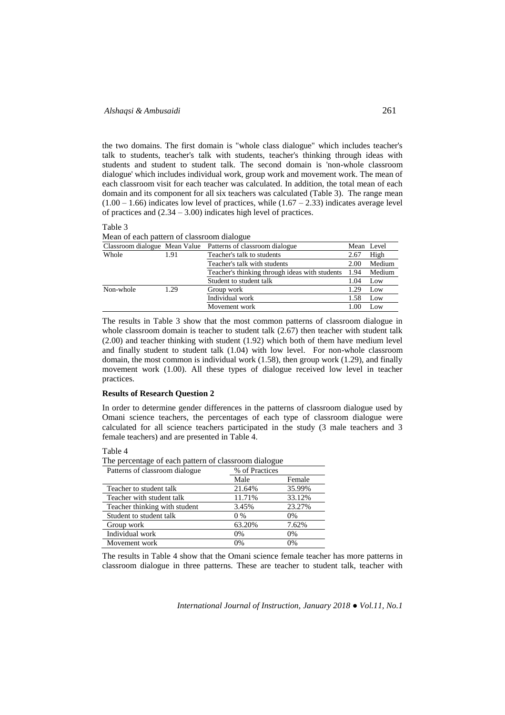the two domains. The first domain is "whole class dialogue" which includes teacher's talk to students, teacher's talk with students, teacher's thinking through ideas with students and student to student talk. The second domain is 'non-whole classroom dialogue' which includes individual work, group work and movement work. The mean of each classroom visit for each teacher was calculated. In addition, the total mean of each domain and its component for all six teachers was calculated (Table 3). The range mean  $(1.00 - 1.66)$  indicates low level of practices, while  $(1.67 - 2.33)$  indicates average level of practices and  $(2.34 - 3.00)$  indicates high level of practices.

Table 3

| Mean of each pattern of classroom dialogue |  |  |  |
|--------------------------------------------|--|--|--|
|--------------------------------------------|--|--|--|

|           |      | Classroom dialogue Mean Value Patterns of classroom dialogue | Mean Level |        |
|-----------|------|--------------------------------------------------------------|------------|--------|
| Whole     | 1.91 | Teacher's talk to students                                   | 2.67       | High   |
|           |      | Teacher's talk with students                                 | 2.00       | Medium |
|           |      | Teacher's thinking through ideas with students 1.94          |            | Medium |
|           |      | Student to student talk                                      | 1.04       | Low    |
| Non-whole | 1.29 | Group work                                                   | 1.29       | Low    |
|           |      | Individual work                                              | 1.58       | Low    |
|           |      | Movement work                                                | 1.00       | Low    |

The results in Table 3 show that the most common patterns of classroom dialogue in whole classroom domain is teacher to student talk (2.67) then teacher with student talk (2.00) and teacher thinking with student (1.92) which both of them have medium level and finally student to student talk (1.04) with low level. For non-whole classroom domain, the most common is individual work (1.58), then group work (1.29), and finally movement work (1.00). All these types of dialogue received low level in teacher practices.

#### **Results of Research Question 2**

In order to determine gender differences in the patterns of classroom dialogue used by Omani science teachers, the percentages of each type of classroom dialogue were calculated for all science teachers participated in the study (3 male teachers and 3 female teachers) and are presented in Table 4.

Table 4

| The percentage of each pattern of classroom dialogue |                |        |  |
|------------------------------------------------------|----------------|--------|--|
| Patterns of classroom dialogue                       | % of Practices |        |  |
|                                                      | Male           | Female |  |
| Teacher to student talk                              | 21.64%         | 35.99% |  |
| Teacher with student talk                            | 11.71%         | 33.12% |  |
| Teacher thinking with student                        | 3.45%          | 23.27% |  |
| Student to student talk                              | $0\%$          | 0%     |  |
| Group work                                           | 63.20%         | 7.62%  |  |
| Individual work                                      | $0\%$          | 0%     |  |
| Movement work                                        | 0%             | 0%     |  |

The results in Table 4 show that the Omani science female teacher has more patterns in classroom dialogue in three patterns. These are teacher to student talk, teacher with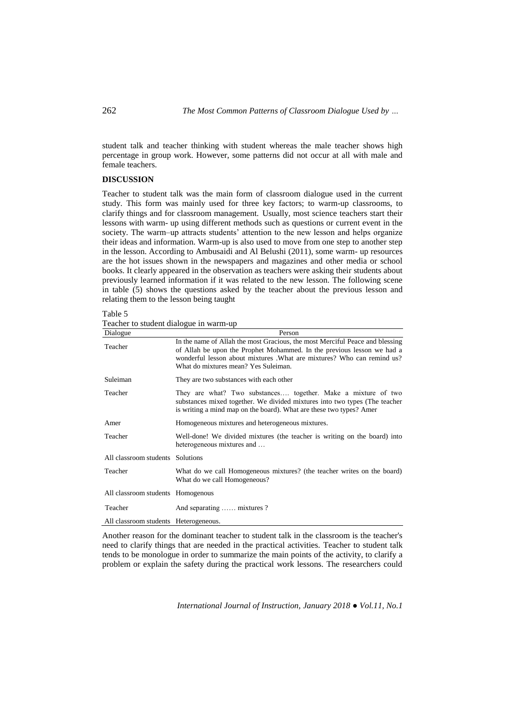student talk and teacher thinking with student whereas the male teacher shows high percentage in group work. However, some patterns did not occur at all with male and female teachers.

## **DISCUSSION**

Teacher to student talk was the main form of classroom dialogue used in the current study. This form was mainly used for three key factors; to warm-up classrooms, to clarify things and for classroom management. Usually, most science teachers start their lessons with warm- up using different methods such as questions or current event in the society. The warm–up attracts students' attention to the new lesson and helps organize their ideas and information. Warm-up is also used to move from one step to another step in the lesson. According to Ambusaidi and Al Belushi (2011), some warm- up resources are the hot issues shown in the newspapers and magazines and other media or school books. It clearly appeared in the observation as teachers were asking their students about previously learned information if it was related to the new lesson. The following scene in table (5) shows the questions asked by the teacher about the previous lesson and relating them to the lesson being taught

Table 5

Teacher to student dialogue in warm-up

| Dialogue                              | Person                                                                                                                                                                                                                                                                   |
|---------------------------------------|--------------------------------------------------------------------------------------------------------------------------------------------------------------------------------------------------------------------------------------------------------------------------|
| Teacher                               | In the name of Allah the most Gracious, the most Merciful Peace and blessing<br>of Allah be upon the Prophet Mohammed. In the previous lesson we had a<br>wonderful lesson about mixtures. What are mixtures? Who can remind us?<br>What do mixtures mean? Yes Suleiman. |
| Suleiman                              | They are two substances with each other                                                                                                                                                                                                                                  |
| Teacher                               | They are what? Two substances together. Make a mixture of two<br>substances mixed together. We divided mixtures into two types (The teacher<br>is writing a mind map on the board). What are these two types? Amer                                                       |
| Amer                                  | Homogeneous mixtures and heterogeneous mixtures.                                                                                                                                                                                                                         |
| Teacher                               | Well-done! We divided mixtures (the teacher is writing on the board) into<br>heterogeneous mixtures and                                                                                                                                                                  |
| All classroom students Solutions      |                                                                                                                                                                                                                                                                          |
| Teacher                               | What do we call Homogeneous mixtures? (the teacher writes on the board)<br>What do we call Homogeneous?                                                                                                                                                                  |
| All classroom students Homogenous     |                                                                                                                                                                                                                                                                          |
| Teacher                               | And separating  mixtures ?                                                                                                                                                                                                                                               |
| All classroom students Heterogeneous. |                                                                                                                                                                                                                                                                          |

Another reason for the dominant teacher to student talk in the classroom is the teacher's need to clarify things that are needed in the practical activities. Teacher to student talk tends to be monologue in order to summarize the main points of the activity, to clarify a problem or explain the safety during the practical work lessons. The researchers could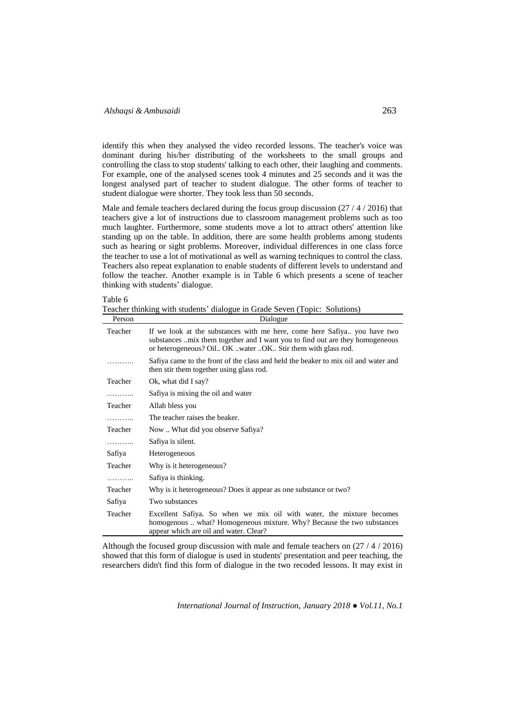identify this when they analysed the video recorded lessons. The teacher's voice was dominant during his/her distributing of the worksheets to the small groups and controlling the class to stop students' talking to each other, their laughing and comments. For example, one of the analysed scenes took 4 minutes and 25 seconds and it was the longest analysed part of teacher to student dialogue. The other forms of teacher to student dialogue were shorter. They took less than 50 seconds.

Male and female teachers declared during the focus group discussion (27 / 4 / 2016) that teachers give a lot of instructions due to classroom management problems such as too much laughter. Furthermore, some students move a lot to attract others' attention like standing up on the table. In addition, there are some health problems among students such as hearing or sight problems. Moreover, individual differences in one class force the teacher to use a lot of motivational as well as warning techniques to control the class. Teachers also repeat explanation to enable students of different levels to understand and follow the teacher. Another example is in Table 6 which presents a scene of teacher thinking with students' dialogue.

| `able | n |
|-------|---|
|-------|---|

|  | Teacher thinking with students' dialogue in Grade Seven (Topic: Solutions) |  |  |  |
|--|----------------------------------------------------------------------------|--|--|--|
|--|----------------------------------------------------------------------------|--|--|--|

| Person  | Dialogue                                                                                                                                                                                                                |
|---------|-------------------------------------------------------------------------------------------------------------------------------------------------------------------------------------------------------------------------|
| Teacher | If we look at the substances with me here, come here Safiya you have two<br>substances mix them together and I want you to find out are they homogeneous<br>or heterogeneous? Oil OK water OK Stir them with glass rod. |
| .       | Safiya came to the front of the class and held the beaker to mix oil and water and<br>then stir them together using glass rod.                                                                                          |
| Teacher | Ok, what did I say?                                                                                                                                                                                                     |
| .       | Safiya is mixing the oil and water                                                                                                                                                                                      |
| Teacher | Allah bless you                                                                                                                                                                                                         |
| .       | The teacher raises the beaker.                                                                                                                                                                                          |
| Teacher | Now  What did you observe Safiya?                                                                                                                                                                                       |
| .       | Safiya is silent.                                                                                                                                                                                                       |
| Safiya  | Heterogeneous                                                                                                                                                                                                           |
| Teacher | Why is it heterogeneous?                                                                                                                                                                                                |
| .       | Safiya is thinking.                                                                                                                                                                                                     |
| Teacher | Why is it heterogeneous? Does it appear as one substance or two?                                                                                                                                                        |
| Safiya  | Two substances                                                                                                                                                                                                          |
| Teacher | Excellent Safiya. So when we mix oil with water, the mixture becomes<br>homogenous  what? Homogeneous mixture. Why? Because the two substances<br>appear which are oil and water. Clear?                                |

Although the focused group discussion with male and female teachers on (27 / 4 / 2016) showed that this form of dialogue is used in students' presentation and peer teaching, the researchers didn't find this form of dialogue in the two recoded lessons. It may exist in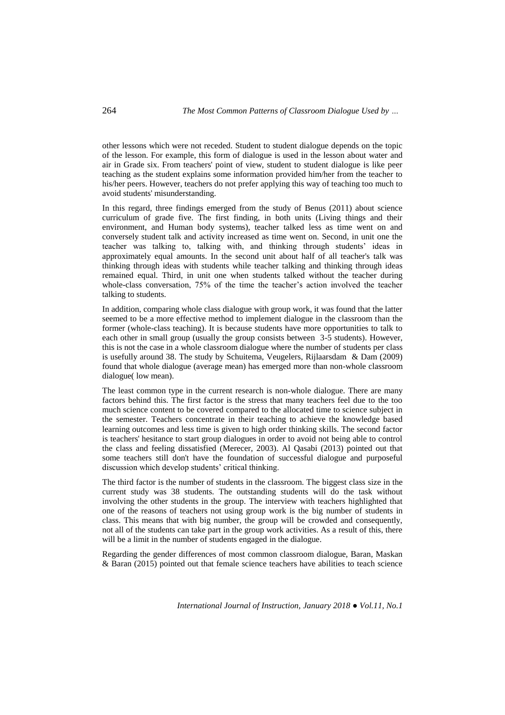other lessons which were not receded. Student to student dialogue depends on the topic of the lesson. For example, this form of dialogue is used in the lesson about water and air in Grade six. From teachers' point of view, student to student dialogue is like peer teaching as the student explains some information provided him/her from the teacher to his/her peers. However, teachers do not prefer applying this way of teaching too much to avoid students' misunderstanding.

In this regard, three findings emerged from the study of Benus (2011) about science curriculum of grade five. The first finding, in both units (Living things and their environment, and Human body systems), teacher talked less as time went on and conversely student talk and activity increased as time went on. Second, in unit one the teacher was talking to, talking with, and thinking through students' ideas in approximately equal amounts. In the second unit about half of all teacher's talk was thinking through ideas with students while teacher talking and thinking through ideas remained equal. Third, in unit one when students talked without the teacher during whole-class conversation, 75% of the time the teacher's action involved the teacher talking to students.

In addition, comparing whole class dialogue with group work, it was found that the latter seemed to be a more effective method to implement dialogue in the classroom than the former (whole-class teaching). It is because students have more opportunities to talk to each other in small group (usually the group consists between 3-5 students). However, this is not the case in a whole classroom dialogue where the number of students per class is usefully around 38. The study by Schuitema, Veugelers, Rijlaarsdam & Dam (2009) found that whole dialogue (average mean) has emerged more than non-whole classroom dialogue( low mean).

The least common type in the current research is non-whole dialogue. There are many factors behind this. The first factor is the stress that many teachers feel due to the too much science content to be covered compared to the allocated time to science subject in the semester. Teachers concentrate in their teaching to achieve the knowledge based learning outcomes and less time is given to high order thinking skills. The second factor is teachers' hesitance to start group dialogues in order to avoid not being able to control the class and feeling dissatisfied (Merecer, 2003). Al Qasabi (2013) pointed out that some teachers still don't have the foundation of successful dialogue and purposeful discussion which develop students' critical thinking.

The third factor is the number of students in the classroom. The biggest class size in the current study was 38 students. The outstanding students will do the task without involving the other students in the group. The interview with teachers highlighted that one of the reasons of teachers not using group work is the big number of students in class. This means that with big number, the group will be crowded and consequently, not all of the students can take part in the group work activities. As a result of this, there will be a limit in the number of students engaged in the dialogue.

Regarding the gender differences of most common classroom dialogue, Baran, Maskan & Baran (2015) pointed out that female science teachers have abilities to teach science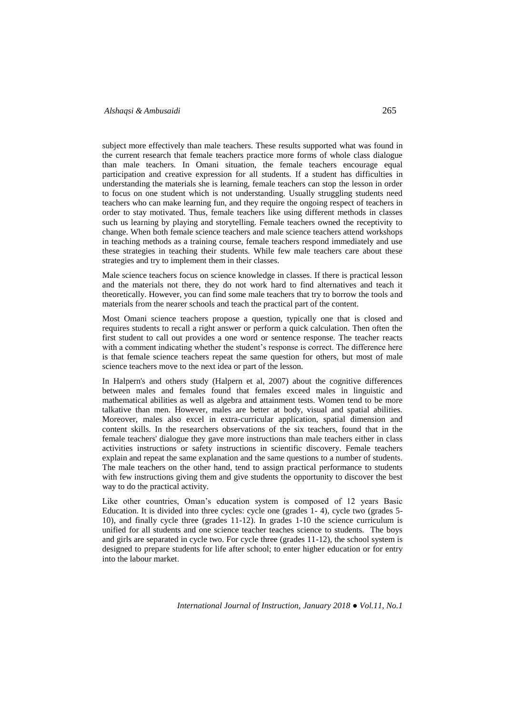subject more effectively than male teachers. These results supported what was found in the current research that female teachers practice more forms of whole class dialogue than male teachers. In Omani situation, the female teachers encourage equal participation and creative expression for all students. If a student has difficulties in understanding the materials she is learning, female teachers can stop the lesson in order to focus on one student which is not understanding. Usually struggling students need teachers who can make learning fun, and they require the ongoing respect of teachers in order to stay motivated. Thus, female teachers like using different methods in classes such us learning by playing and storytelling. Female teachers owned the receptivity to change. When both female science teachers and male science teachers attend workshops in teaching methods as a training course, female teachers respond immediately and use these strategies in teaching their students. While few male teachers care about these strategies and try to implement them in their classes.

Male science teachers focus on science knowledge in classes. If there is practical lesson and the materials not there, they do not work hard to find alternatives and teach it theoretically. However, you can find some male teachers that try to borrow the tools and materials from the nearer schools and teach the practical part of the content.

Most Omani science teachers propose a question, typically one that is closed and requires students to recall a right answer or perform a quick calculation. Then often the first student to call out provides a one word or sentence response. The teacher reacts with a comment indicating whether the student's response is correct. The difference here is that female science teachers repeat the same question for others, but most of male science teachers move to the next idea or part of the lesson.

In Halpern's and others study (Halpern et al, 2007) about the cognitive differences between males and females found that females exceed males in linguistic and mathematical abilities as well as algebra and attainment tests. Women tend to be more talkative than men. However, males are better at body, visual and spatial abilities. Moreover, males also excel in extra-curricular application, spatial dimension and content skills. In the researchers observations of the six teachers, found that in the female teachers' dialogue they gave more instructions than male teachers either in class activities instructions or safety instructions in scientific discovery. Female teachers explain and repeat the same explanation and the same questions to a number of students. The male teachers on the other hand, tend to assign practical performance to students with few instructions giving them and give students the opportunity to discover the best way to do the practical activity.

Like other countries, Oman's education system is composed of 12 years Basic Education. It is divided into three cycles: cycle one (grades 1- 4), cycle two (grades 5- 10), and finally cycle three (grades 11-12). In grades 1-10 the science curriculum is unified for all students and one science teacher teaches science to students. The boys and girls are separated in cycle two. For cycle three (grades 11-12), the school system is designed to prepare students for life after school; to enter higher education or for entry into the labour market.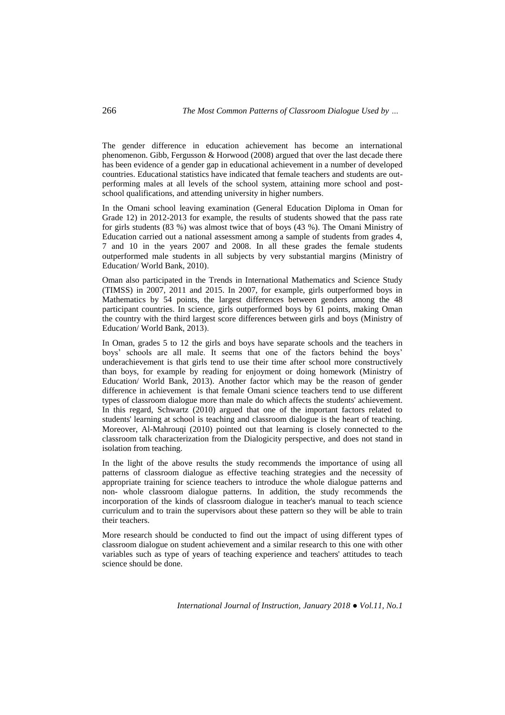The gender difference in education achievement has become an international phenomenon. Gibb, Fergusson & Horwood (2008) argued that over the last decade there has been evidence of a gender gap in educational achievement in a number of developed countries. Educational statistics have indicated that female teachers and students are outperforming males at all levels of the school system, attaining more school and postschool qualifications, and attending university in higher numbers.

In the Omani school leaving examination (General Education Diploma in Oman for Grade 12) in 2012-2013 for example, the results of students showed that the pass rate for girls students (83 %) was almost twice that of boys (43 %). The Omani Ministry of Education carried out a national assessment among a sample of students from grades 4, 7 and 10 in the years 2007 and 2008. In all these grades the female students outperformed male students in all subjects by very substantial margins (Ministry of Education/ World Bank, 2010).

Oman also participated in the Trends in International Mathematics and Science Study (TIMSS) in 2007, 2011 and 2015. In 2007, for example, girls outperformed boys in Mathematics by 54 points, the largest differences between genders among the 48 participant countries. In science, girls outperformed boys by 61 points, making Oman the country with the third largest score differences between girls and boys (Ministry of Education/World Bank, 2013).

In Oman, grades 5 to 12 the girls and boys have separate schools and the teachers in boys' schools are all male. It seems that one of the factors behind the boys' underachievement is that girls tend to use their time after school more constructively than boys, for example by reading for enjoyment or doing homework (Ministry of Education/ World Bank, 2013). Another factor which may be the reason of gender difference in achievement is that female Omani science teachers tend to use different types of classroom dialogue more than male do which affects the students' achievement. In this regard, Schwartz (2010) argued that one of the important factors related to students' learning at school is teaching and classroom dialogue is the heart of teaching. Moreover, Al-Mahrouqi (2010) pointed out that learning is closely connected to the classroom talk characterization from the Dialogicity perspective, and does not stand in isolation from teaching.

In the light of the above results the study recommends the importance of using all patterns of classroom dialogue as effective teaching strategies and the necessity of appropriate training for science teachers to introduce the whole dialogue patterns and non- whole classroom dialogue patterns. In addition, the study recommends the incorporation of the kinds of classroom dialogue in teacher's manual to teach science curriculum and to train the supervisors about these pattern so they will be able to train their teachers.

More research should be conducted to find out the impact of using different types of classroom dialogue on student achievement and a similar research to this one with other variables such as type of years of teaching experience and teachers' attitudes to teach science should be done.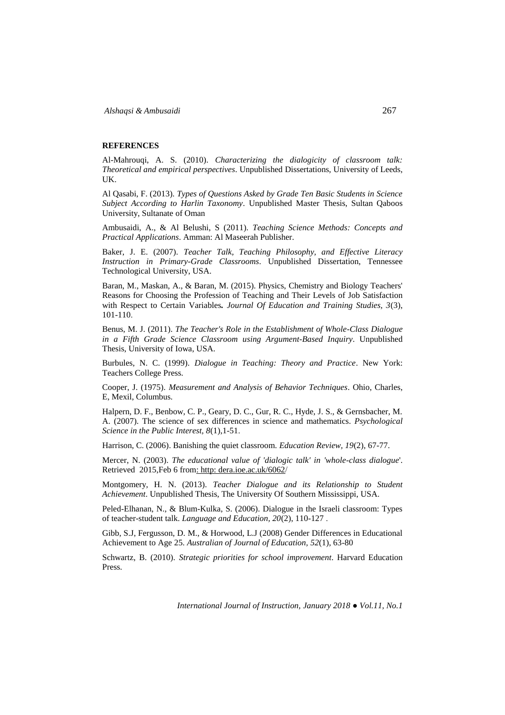*Alshaqsi & Ambusaidi* 267

## **REFERENCES**

Al-Mahrouqi, A. S. (2010). *Characterizing the dialogicity of classroom talk: Theoretical and empirical perspectives*. Unpublished Dissertations, University of Leeds, UK.

Al Qasabi, F. (2013). *Types of Questions Asked by Grade Ten Basic Students in Science Subject According to Harlin Taxonomy*. Unpublished Master Thesis, Sultan Qaboos University, Sultanate of Oman

Ambusaidi, A., & Al Belushi, S (2011). *Teaching Science Methods: Concepts and Practical Applications*. Amman: Al Maseerah Publisher.

Baker, J. E. (2007). *Teacher Talk, Teaching Philosophy, and Effective Literacy Instruction in Primary-Grade Classrooms*. Unpublished Dissertation, Tennessee Technological University, USA.

Baran, M., Maskan, A., & Baran, M. (2015). Physics, Chemistry and Biology Teachers' Reasons for Choosing the Profession of Teaching and Their Levels of Job Satisfaction with Respect to Certain Variables*. Journal Of Education and Training Studies, 3*(3), 101-110.

Benus, M. J. (2011). *The Teacher's Role in the Establishment of Whole-Class Dialogue in a Fifth Grade Science Classroom using Argument-Based Inquiry*. Unpublished Thesis, University of Iowa, USA.

Burbules, N. C. (1999). *Dialogue in Teaching: Theory and Practice*. New York: Teachers College Press.

Cooper, J. (1975). *Measurement and Analysis of Behavior Techniques*. Ohio, Charles, E, Mexil, Columbus.

Halpern, D. F., Benbow, C. P., Geary, D. C., Gur, R. C., Hyde, J. S., & Gernsbacher, M. A. (2007). The science of sex differences in science and mathematics. *Psychological Science in the Public Interest, 8*(1),1-51.

Harrison, C. (2006). Banishing the quiet classroom. *Education Review, 19*(2), 67-77.

Mercer, N. (2003). *The educational value of 'dialogic talk' in 'whole-class dialogue*'. Retrieved 2015,Feb 6 from: http: dera.ioe.ac.uk/6062/

Montgomery, H. N. (2013). *Teacher Dialogue and its Relationship to Student Achievement*. Unpublished Thesis, The University Of Southern Mississippi, USA.

Peled-Elhanan, N., & Blum-Kulka, S. (2006). Dialogue in the Israeli classroom: Types of teacher-student talk. *Language and Education, 20*(2), 110-127 .

Gibb, S.J, Fergusson, D. M., & Horwood, L.J (2008) Gender Differences in Educational Achievement to Age 25. *Australian of Journal of Education, 52*(1), 63-80

Schwartz, B. (2010). *Strategic priorities for school improvement*. Harvard Education Press.